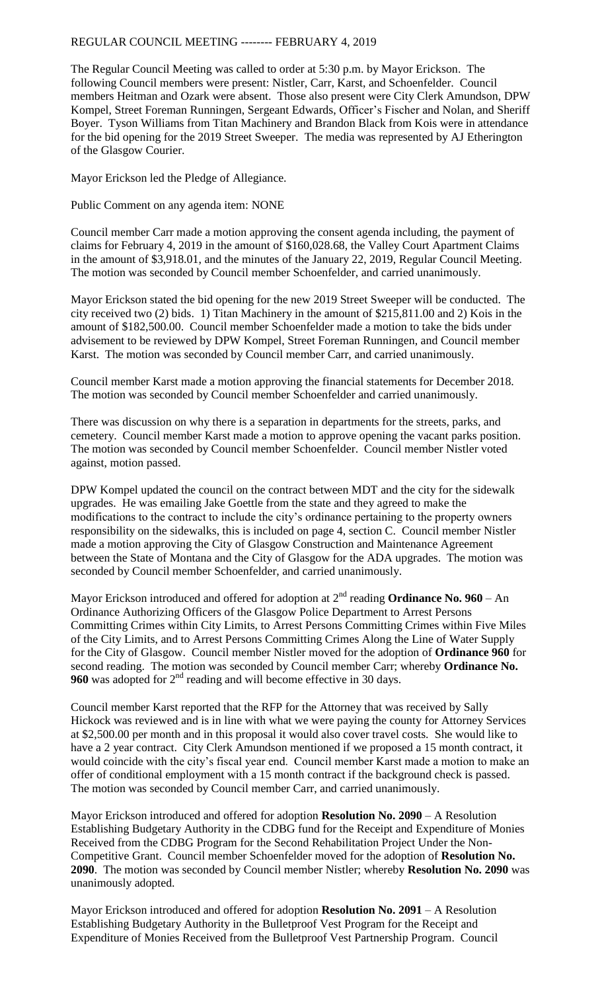## REGULAR COUNCIL MEETING -------- FEBRUARY 4, 2019

The Regular Council Meeting was called to order at 5:30 p.m. by Mayor Erickson. The following Council members were present: Nistler, Carr, Karst, and Schoenfelder. Council members Heitman and Ozark were absent. Those also present were City Clerk Amundson, DPW Kompel, Street Foreman Runningen, Sergeant Edwards, Officer's Fischer and Nolan, and Sheriff Boyer. Tyson Williams from Titan Machinery and Brandon Black from Kois were in attendance for the bid opening for the 2019 Street Sweeper. The media was represented by AJ Etherington of the Glasgow Courier.

Mayor Erickson led the Pledge of Allegiance.

Public Comment on any agenda item: NONE

Council member Carr made a motion approving the consent agenda including, the payment of claims for February 4, 2019 in the amount of \$160,028.68, the Valley Court Apartment Claims in the amount of \$3,918.01, and the minutes of the January 22, 2019, Regular Council Meeting. The motion was seconded by Council member Schoenfelder, and carried unanimously.

Mayor Erickson stated the bid opening for the new 2019 Street Sweeper will be conducted. The city received two (2) bids. 1) Titan Machinery in the amount of \$215,811.00 and 2) Kois in the amount of \$182,500.00. Council member Schoenfelder made a motion to take the bids under advisement to be reviewed by DPW Kompel, Street Foreman Runningen, and Council member Karst. The motion was seconded by Council member Carr, and carried unanimously.

Council member Karst made a motion approving the financial statements for December 2018. The motion was seconded by Council member Schoenfelder and carried unanimously.

There was discussion on why there is a separation in departments for the streets, parks, and cemetery. Council member Karst made a motion to approve opening the vacant parks position. The motion was seconded by Council member Schoenfelder. Council member Nistler voted against, motion passed.

DPW Kompel updated the council on the contract between MDT and the city for the sidewalk upgrades. He was emailing Jake Goettle from the state and they agreed to make the modifications to the contract to include the city's ordinance pertaining to the property owners responsibility on the sidewalks, this is included on page 4, section C. Council member Nistler made a motion approving the City of Glasgow Construction and Maintenance Agreement between the State of Montana and the City of Glasgow for the ADA upgrades. The motion was seconded by Council member Schoenfelder, and carried unanimously.

Mayor Erickson introduced and offered for adoption at 2<sup>nd</sup> reading **Ordinance No. 960** – An Ordinance Authorizing Officers of the Glasgow Police Department to Arrest Persons Committing Crimes within City Limits, to Arrest Persons Committing Crimes within Five Miles of the City Limits, and to Arrest Persons Committing Crimes Along the Line of Water Supply for the City of Glasgow. Council member Nistler moved for the adoption of **Ordinance 960** for second reading. The motion was seconded by Council member Carr; whereby **Ordinance No. 960** was adopted for 2<sup>nd</sup> reading and will become effective in 30 days.

Council member Karst reported that the RFP for the Attorney that was received by Sally Hickock was reviewed and is in line with what we were paying the county for Attorney Services at \$2,500.00 per month and in this proposal it would also cover travel costs. She would like to have a 2 year contract. City Clerk Amundson mentioned if we proposed a 15 month contract, it would coincide with the city's fiscal year end. Council member Karst made a motion to make an offer of conditional employment with a 15 month contract if the background check is passed. The motion was seconded by Council member Carr, and carried unanimously.

Mayor Erickson introduced and offered for adoption **Resolution No. 2090** – A Resolution Establishing Budgetary Authority in the CDBG fund for the Receipt and Expenditure of Monies Received from the CDBG Program for the Second Rehabilitation Project Under the Non-Competitive Grant. Council member Schoenfelder moved for the adoption of **Resolution No. 2090**. The motion was seconded by Council member Nistler; whereby **Resolution No. 2090** was unanimously adopted.

Mayor Erickson introduced and offered for adoption **Resolution No. 2091** – A Resolution Establishing Budgetary Authority in the Bulletproof Vest Program for the Receipt and Expenditure of Monies Received from the Bulletproof Vest Partnership Program. Council